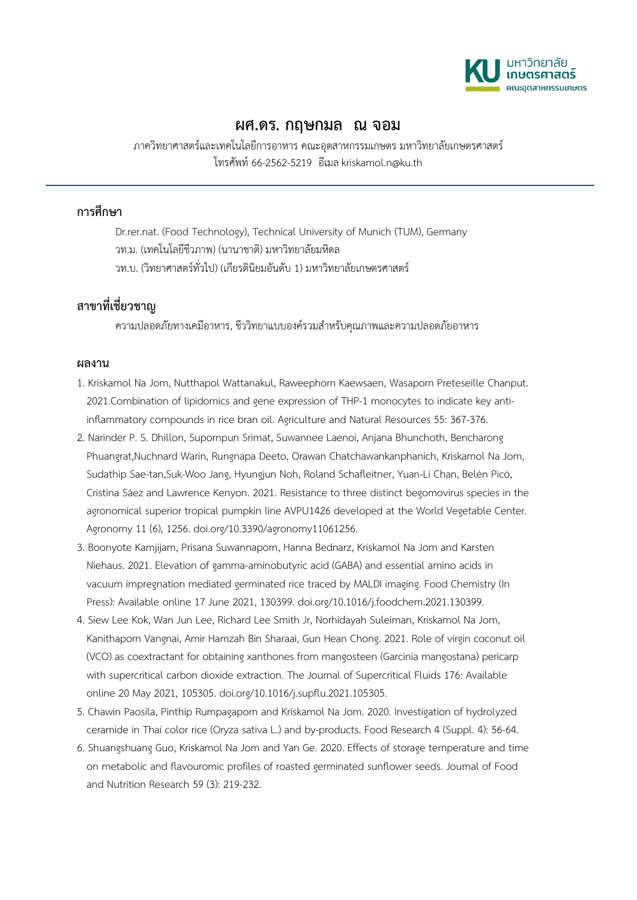

## **ผศ.ดร. กฤษกมล ณ จอม**

ภาควิทยาศาสตร์และเทคโนโลยีการอาหาร คณะอุตสาหกรรมเกษตร มหาวิทยาลัยเกษตรศาสตร์ โทรศัพท 66-2562-5219 อีเมลkriskamol.n@ku.th

## **การศึกษา**

Dr.rer.nat. (Food Technology), Technical University of Munich (TUM), Germany วท.ม. (เทคโนโลยีชีวภาพ) (นานาชาติ) มหาวิทยาลัยมหิดล ้วท.บ. (วิทยาศาสตร์ทั่วไป) (เกียรติบิยมอับดับ 1) มหาวิทยาลัยเกษตรศาสตร์

## **สาขาที่เชี่ยวชาญ**

ความปลอดภัยทางเคมีอาหาร, ชีววิทยาแบบองครวมสำหรับคุณภาพและความปลอดภัยอาหาร

## **ผลงาน**

- 1. Kriskamol Na Jom, Nutthapol Wattanakul, Raweephorn Kaewsaen, Wasaporn Preteseille Chanput. 2021.Combination of lipidomics and gene expression of THP-1 monocytes to indicate key anti inflammatory compounds in rice bran oil. Agriculture and Natural Resources 55: 367-376.
- 2. Narinder P. S. Dhillon, Supornpun Srimat, Suwannee Laenoi, Anjana Bhunchoth, Bencharong Phuangrat,Nuchnard Warin, Rungnapa Deeto, Orawan Chatchawankanphanich, Kriskamol Na Jom, Sudathip Sae-tan,Suk-Woo Jang, Hyungjun Noh, Roland Schafleitner, Yuan-Li Chan, Belén Picó, Cristina Sáez and Lawrence Kenyon. 2021. Resistance to three distinct begomovirus species in the agronomical superior tropical pumpkin line AVPU1426 developed at the World Vegetable Center. Agronomy 11 (6), 1256. doi.org/10.3390/agronomy11061256.
- 3. Boonyote Kamjijam, Prisana Suwannaporn, Hanna Bednarz, Kriskamol Na Jom and Karsten Niehaus. 2021. Elevation of gamma-aminobutyric acid (GABA) and essential amino acids in vacuum impregnation mediated germinated rice traced by MALDI imaging. Food Chemistry (In Press): Available online 17 June 2021, 130399. doi.org/10.1016/j.foodchem.2021.130399.
- 4. Siew Lee Kok, Wan Jun Lee, Richard Lee Smith Jr, Norhidayah Suleiman, Kriskamol Na Jom, Kanithaporn Vangnai, Amir Hamzah Bin Sharaai, Gun Hean Chong. 2021. Role of virgin coconut oil (VCO) as coextractant for obtaining xanthones from mangosteen (Garcinia mangostana) pericarp with supercritical carbon dioxide extraction. The Journal of Supercritical Fluids 176: Available online 20 May 2021, 105305. doi.org/10.1016/j.supflu.2021.105305.
- 5. Chawin Paosila, Pinthip Rumpagaporn and Kriskamol Na Jom. 2020. Investigation of hydrolyzed ceramide in Thai color rice (Oryza sativa L.) and by-products. Food Research 4 (Suppl. 4): 56-64.
- 6. Shuangshuang Guo, Kriskamol Na Jom and Yan Ge. 2020. Effects of storage temperature and time on metabolic and flavouromic profiles of roasted germinated sunflower seeds. Journal of Food and Nutrition Research 59 (3): 219-232.